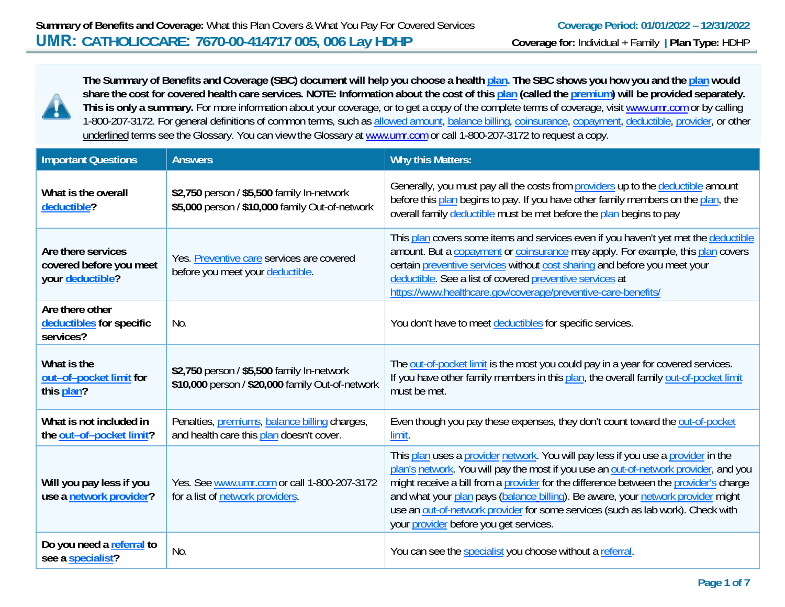

**The Summary of Benefits and Coverage (SBC) document will help you choose a health plan. The SBC shows you how you and the plan would share the cost for covered health care services. NOTE: Information about the cost of this plan (called the premium) will be provided separately.**  This is only a summary. For more information about your coverage, or to get a copy of the complete terms of coverage, visit www.umr.com or by calling 1-800-207-3172. For general definitions of common terms, such as allowed amount, balance billing, coinsurance, copayment, deductible, provider, or other underlined terms see the Glossary. You can view the Glossary at www.umr.com or call 1-800-207-3172 to request a copy.

| <b>Important Questions</b>                                        | <b>Answers</b>                                                                                           | <b>Why this Matters:</b>                                                                                                                                                                                                                                                                                                                                                                                                                                                            |
|-------------------------------------------------------------------|----------------------------------------------------------------------------------------------------------|-------------------------------------------------------------------------------------------------------------------------------------------------------------------------------------------------------------------------------------------------------------------------------------------------------------------------------------------------------------------------------------------------------------------------------------------------------------------------------------|
| What is the overall<br>deductible?                                | \$2,750 person / \$5,500 family In-network<br>\$5,000 person / \$10,000 family Out-of-network            | Generally, you must pay all the costs from providers up to the deductible amount<br>before this plan begins to pay. If you have other family members on the plan, the<br>overall family deductible must be met before the plan begins to pay                                                                                                                                                                                                                                        |
| Are there services<br>covered before you meet<br>your deductible? | Yes. Preventive care services are covered<br>before you meet your deductible.                            | This plan covers some items and services even if you haven't yet met the deductible<br>amount. But a copayment or coinsurance may apply. For example, this plan covers<br>certain preventive services without cost sharing and before you meet your<br>deductible. See a list of covered preventive services at<br>https://www.healthcare.gov/coverage/preventive-care-benefits/                                                                                                    |
| Are there other<br>deductibles for specific<br>services?          | No.                                                                                                      | You don't have to meet deductibles for specific services.                                                                                                                                                                                                                                                                                                                                                                                                                           |
| What is the<br>out-of-pocket limit for<br>this plan?              | \$2,750 person / \$5,500 family In-network<br>\$10,000 person / \$20,000 family Out-of-network           | The out-of-pocket limit is the most you could pay in a year for covered services.<br>If you have other family members in this plan, the overall family out-of-pocket limit<br>must be met.                                                                                                                                                                                                                                                                                          |
| What is not included in<br>the out-of-pocket limit?               | Penalties, <i>premiums</i> , <i>balance billing</i> charges,<br>and health care this plan doesn't cover. | Even though you pay these expenses, they don't count toward the out-of-pocket<br>limit.                                                                                                                                                                                                                                                                                                                                                                                             |
| Will you pay less if you<br>use a network provider?               | Yes. See www.umr.com or call 1-800-207-3172<br>for a list of network providers.                          | This plan uses a provider network. You will pay less if you use a provider in the<br>plan's network. You will pay the most if you use an out-of-network provider, and you<br>might receive a bill from a provider for the difference between the provider's charge<br>and what your plan pays (balance billing). Be aware, your network provider might<br>use an out-of-network provider for some services (such as lab work). Check with<br>your provider before you get services. |
| Do you need a referral to<br>see a specialist?                    | No.                                                                                                      | You can see the specialist you choose without a referral.                                                                                                                                                                                                                                                                                                                                                                                                                           |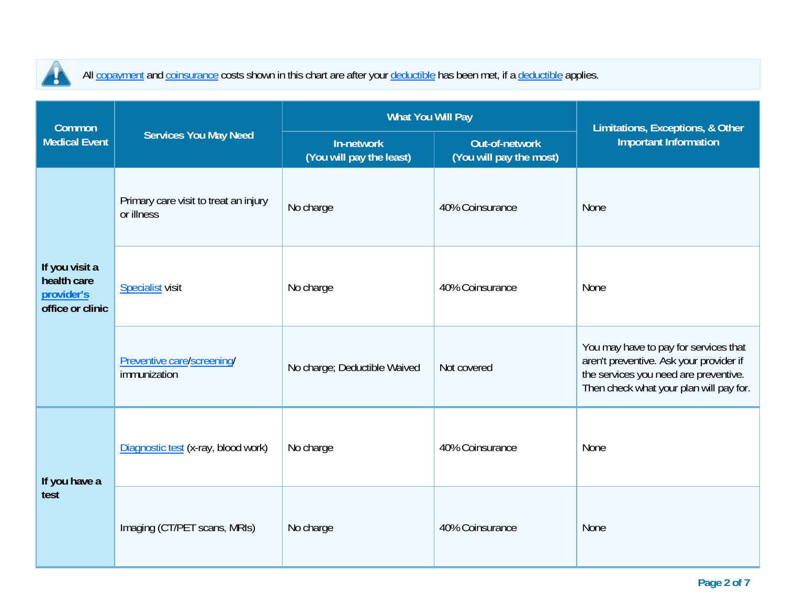

All copayment and coinsurance costs shown in this chart are after your deductible has been met, if a deductible applies.

| <b>Common</b>                                                   |                                                     | <b>What You Will Pay</b>               | Limitations, Exceptions, & Other          |                                                                                                                                                                      |  |
|-----------------------------------------------------------------|-----------------------------------------------------|----------------------------------------|-------------------------------------------|----------------------------------------------------------------------------------------------------------------------------------------------------------------------|--|
| <b>Medical Event</b>                                            | <b>Services You May Need</b>                        | In-network<br>(You will pay the least) | Out-of-network<br>(You will pay the most) | <b>Important Information</b>                                                                                                                                         |  |
| If you visit a<br>health care<br>provider's<br>office or clinic | Primary care visit to treat an injury<br>or illness | No charge                              | 40% Coinsurance                           | None                                                                                                                                                                 |  |
|                                                                 | <b>Specialist visit</b>                             | No charge                              | 40% Coinsurance                           | None                                                                                                                                                                 |  |
|                                                                 | Preventive care/screening/<br>immunization          | No charge; Deductible Waived           | Not covered                               | You may have to pay for services that<br>aren't preventive. Ask your provider if<br>the services you need are preventive.<br>Then check what your plan will pay for. |  |
| If you have a<br>test                                           | Diagnostic test (x-ray, blood work)                 | No charge                              | 40% Coinsurance                           | None                                                                                                                                                                 |  |
|                                                                 | Imaging (CT/PET scans, MRIs)                        | No charge                              | 40% Coinsurance                           | None                                                                                                                                                                 |  |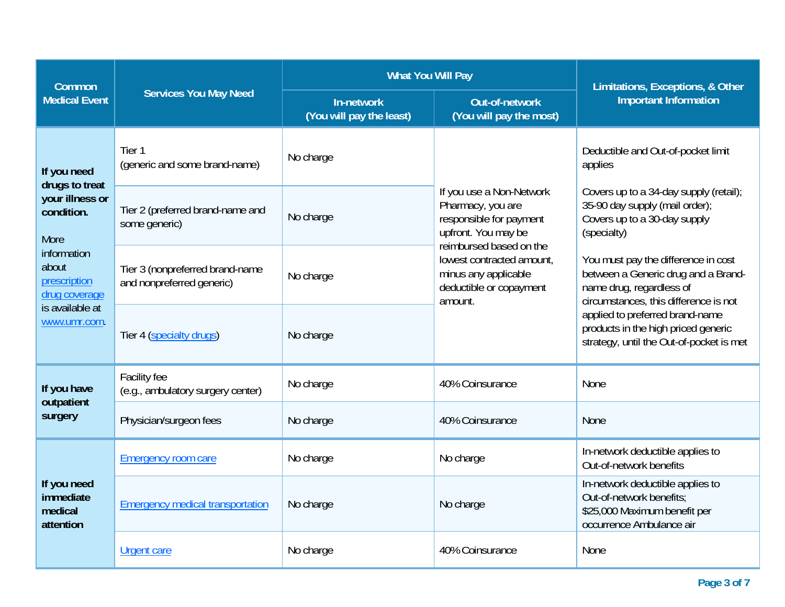| Common                                                  |                                                              | <b>What You Will Pay</b>               | Limitations, Exceptions, & Other                                                                                           |                                                                                                                                                 |  |
|---------------------------------------------------------|--------------------------------------------------------------|----------------------------------------|----------------------------------------------------------------------------------------------------------------------------|-------------------------------------------------------------------------------------------------------------------------------------------------|--|
| <b>Medical Event</b>                                    | <b>Services You May Need</b>                                 | In-network<br>(You will pay the least) | Out-of-network<br>(You will pay the most)                                                                                  | <b>Important Information</b>                                                                                                                    |  |
| If you need                                             | Tier 1<br>(generic and some brand-name)                      | No charge                              |                                                                                                                            | Deductible and Out-of-pocket limit<br>applies                                                                                                   |  |
| drugs to treat<br>your illness or<br>condition.<br>More | Tier 2 (preferred brand-name and<br>some generic)            | No charge                              | If you use a Non-Network<br>Pharmacy, you are<br>responsible for payment<br>upfront. You may be<br>reimbursed based on the | Covers up to a 34-day supply (retail);<br>35-90 day supply (mail order);<br>Covers up to a 30-day supply<br>(specialty)                         |  |
| information<br>about<br>prescription<br>drug coverage   | Tier 3 (nonpreferred brand-name<br>and nonpreferred generic) | No charge                              | lowest contracted amount,<br>minus any applicable<br>deductible or copayment<br>amount.                                    | You must pay the difference in cost<br>between a Generic drug and a Brand-<br>name drug, regardless of<br>circumstances, this difference is not |  |
| is available at<br>www.umr.com.                         | Tier 4 (specialty drugs)                                     | No charge                              |                                                                                                                            | applied to preferred brand-name<br>products in the high priced generic<br>strategy, until the Out-of-pocket is met                              |  |
| If you have<br>outpatient                               | Facility fee<br>(e.g., ambulatory surgery center)            | No charge                              | 40% Coinsurance                                                                                                            | None                                                                                                                                            |  |
| surgery                                                 | Physician/surgeon fees                                       | No charge                              | 40% Coinsurance                                                                                                            | <b>None</b>                                                                                                                                     |  |
|                                                         | <b>Emergency room care</b>                                   | No charge                              | No charge                                                                                                                  | In-network deductible applies to<br>Out-of-network benefits                                                                                     |  |
| If you need<br>immediate<br>medical<br>attention        | <b>Emergency medical transportation</b>                      | No charge                              | No charge                                                                                                                  | In-network deductible applies to<br>Out-of-network benefits;<br>\$25,000 Maximum benefit per<br>occurrence Ambulance air                        |  |
|                                                         | <b>Urgent care</b>                                           | No charge                              | 40% Coinsurance                                                                                                            | <b>None</b>                                                                                                                                     |  |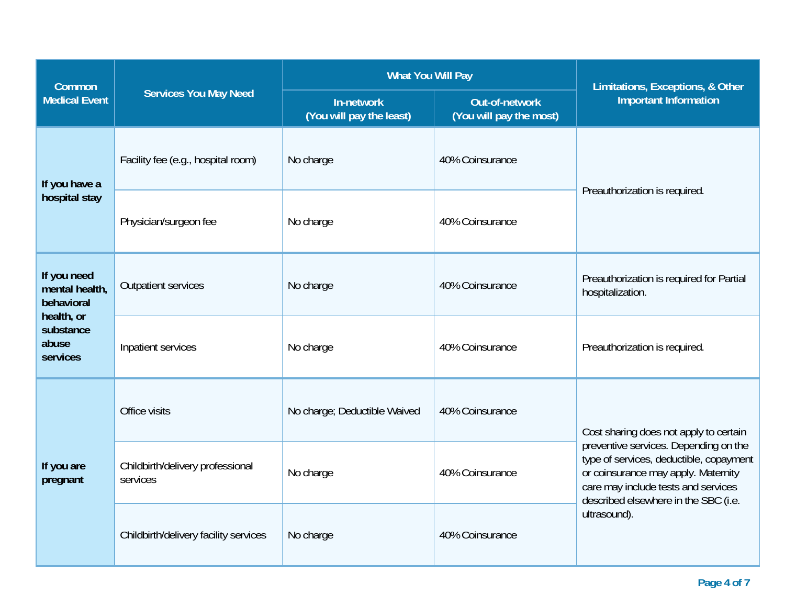| <b>Common</b>                                                                               |                                              | <b>What You Will Pay</b>               | Limitations, Exceptions, & Other          |                                                                                                                                                                                                                                                                  |  |
|---------------------------------------------------------------------------------------------|----------------------------------------------|----------------------------------------|-------------------------------------------|------------------------------------------------------------------------------------------------------------------------------------------------------------------------------------------------------------------------------------------------------------------|--|
| <b>Medical Event</b>                                                                        | <b>Services You May Need</b>                 | In-network<br>(You will pay the least) | Out-of-network<br>(You will pay the most) | <b>Important Information</b>                                                                                                                                                                                                                                     |  |
| If you have a                                                                               | Facility fee (e.g., hospital room)           | No charge                              | 40% Coinsurance                           | Preauthorization is required.                                                                                                                                                                                                                                    |  |
| hospital stay                                                                               | Physician/surgeon fee                        | No charge                              | 40% Coinsurance                           |                                                                                                                                                                                                                                                                  |  |
| If you need<br>mental health,<br>behavioral<br>health, or<br>substance<br>abuse<br>services | <b>Outpatient services</b>                   | No charge                              | 40% Coinsurance                           | Preauthorization is required for Partial<br>hospitalization.                                                                                                                                                                                                     |  |
|                                                                                             | Inpatient services                           | No charge                              | 40% Coinsurance                           | Preauthorization is required.                                                                                                                                                                                                                                    |  |
|                                                                                             | Office visits                                | No charge; Deductible Waived           | 40% Coinsurance                           | Cost sharing does not apply to certain<br>preventive services. Depending on the<br>type of services, deductible, copayment<br>or coinsurance may apply. Maternity<br>care may include tests and services<br>described elsewhere in the SBC (i.e.<br>ultrasound). |  |
| If you are<br>pregnant                                                                      | Childbirth/delivery professional<br>services | No charge                              | 40% Coinsurance                           |                                                                                                                                                                                                                                                                  |  |
|                                                                                             | Childbirth/delivery facility services        | No charge                              | 40% Coinsurance                           |                                                                                                                                                                                                                                                                  |  |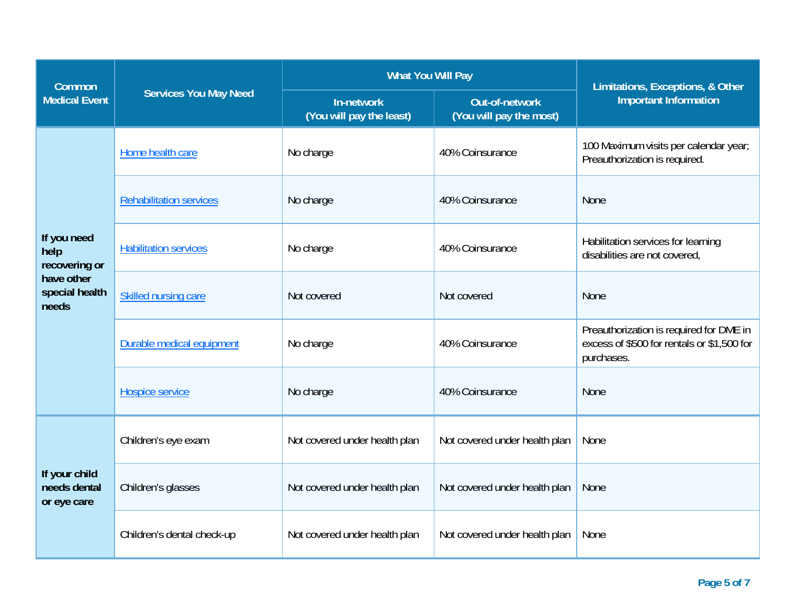| <b>Common</b>                                |                                                           | <b>What You Will Pay</b>               | Limitations, Exceptions, & Other                 |                                                                                                     |  |
|----------------------------------------------|-----------------------------------------------------------|----------------------------------------|--------------------------------------------------|-----------------------------------------------------------------------------------------------------|--|
| <b>Medical Event</b>                         | <b>Services You May Need</b>                              | In-network<br>(You will pay the least) | <b>Out-of-network</b><br>(You will pay the most) | <b>Important Information</b>                                                                        |  |
|                                              | Home health care                                          | No charge                              | 40% Coinsurance                                  | 100 Maximum visits per calendar year;<br>Preauthorization is required.                              |  |
|                                              | <b>Rehabilitation services</b>                            | No charge                              | 40% Coinsurance                                  | None                                                                                                |  |
| If you need<br>help<br>recovering or         | <b>Habilitation services</b>                              | No charge                              | 40% Coinsurance                                  | Habilitation services for learning<br>disabilities are not covered,                                 |  |
| have other<br>special health<br>needs        | Skilled nursing care                                      | Not covered                            | Not covered                                      | None                                                                                                |  |
|                                              | Durable medical equipment<br>No charge<br>40% Coinsurance |                                        |                                                  | Preauthorization is required for DME in<br>excess of \$500 for rentals or \$1,500 for<br>purchases. |  |
|                                              | Hospice service                                           | No charge                              | 40% Coinsurance                                  | None                                                                                                |  |
|                                              | Children's eye exam                                       | Not covered under health plan          | Not covered under health plan                    | None                                                                                                |  |
| If your child<br>needs dental<br>or eye care | Children's glasses                                        | Not covered under health plan          | Not covered under health plan                    | None                                                                                                |  |
|                                              | Children's dental check-up                                | Not covered under health plan          | Not covered under health plan                    | None                                                                                                |  |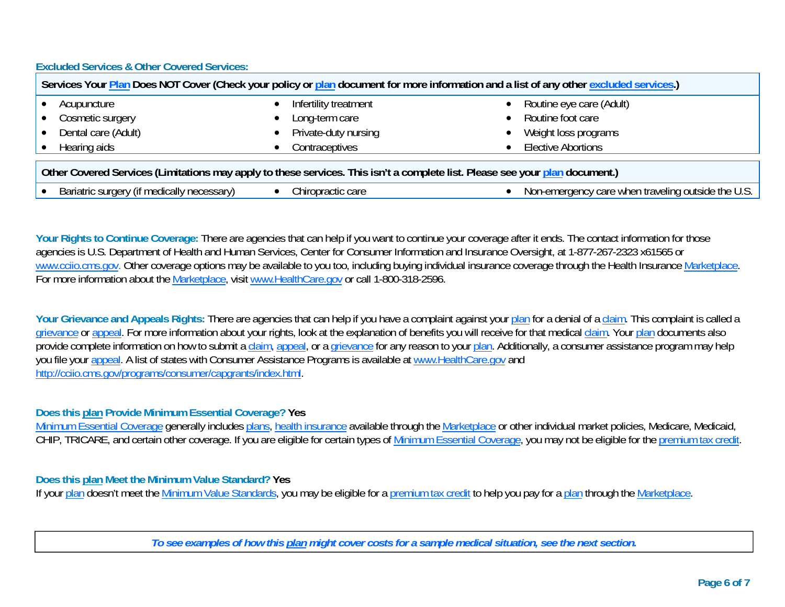**Excluded Services & Other Covered Services:** 

| Services Your Plan Does NOT Cover (Check your policy or plan document for more information and a list of any other excluded services.) |                       |                           |  |  |
|----------------------------------------------------------------------------------------------------------------------------------------|-----------------------|---------------------------|--|--|
| Acupuncture                                                                                                                            | Infertility treatment | Routine eye care (Adult)  |  |  |
| • Cosmetic surgery                                                                                                                     | Long-term care        | Routine foot care         |  |  |
| Dental care (Adult)                                                                                                                    | Private-duty nursing  | Weight loss programs      |  |  |
| Hearing aids                                                                                                                           | Contraceptives        | <b>Elective Abortions</b> |  |  |
| Other Covered Services (Limitations may apply to these services. This isn't a complete list. Please see your plan document.)           |                       |                           |  |  |

| cessarv <sup>,</sup><br>Bariatric<br>dically<br>rrN<br>$\sim$<br>me<br><br>uu<br>. | care<br>onractic u.u.<br>. uu | th.<br>outside<br>traveling<br>∩r<br>181 <sup>h</sup><br>∧l∩'<br>ו∩מ≏<br>$\cdots$<br>.<br>спю<br>uuu<br>$\cdots$<br>,,<br>.<br>.<br>. v.v |
|------------------------------------------------------------------------------------|-------------------------------|-------------------------------------------------------------------------------------------------------------------------------------------|

Your Rights to Continue Coverage: There are agencies that can help if you want to continue your coverage after it ends. The contact information for those agencies is U.S. Department of Health and Human Services, Center for Consumer Information and Insurance Oversight, at 1-877-267-2323 x61565 or www.cciio.cms.gov. Other coverage options may be available to you too, including buying individual insurance coverage through the Health Insurance Marketplace. For more information about the Marketplace, visit www.HealthCare.gov or call 1-800-318-2596.

Your Grievance and Appeals Rights: There are agencies that can help if you have a complaint against your plan for a denial of a claim. This complaint is called a grievance or appeal. For more information about your rights, look at the explanation of benefits you will receive for that medical claim. Your plan documents also provide complete information on how to submit a claim, appeal, or a grievance for any reason to your plan. Additionally, a consumer assistance program may help you file your appeal. A list of states with Consumer Assistance Programs is available at www.HealthCare.gov and http://cciio.cms.gov/programs/consumer/capgrants/index.html.

**Does this plan Provide Minimum Essential Coverage? Yes**

Minimum Essential Coverage generally includes plans, health insurance available through the Marketplace or other individual market policies, Medicare, Medicaid, CHIP, TRICARE, and certain other coverage. If you are eligible for certain types of Minimum Essential Coverage, you may not be eligible for the premium tax credit.

## **Does this plan Meet the Minimum Value Standard? Yes**

If your plan doesn't meet the Minimum Value Standards, you may be eligible for a premium tax credit to help you pay for a plan through the Marketplace.

*To see examples of how this plan might cover costs for a sample medical situation, see the next section.*